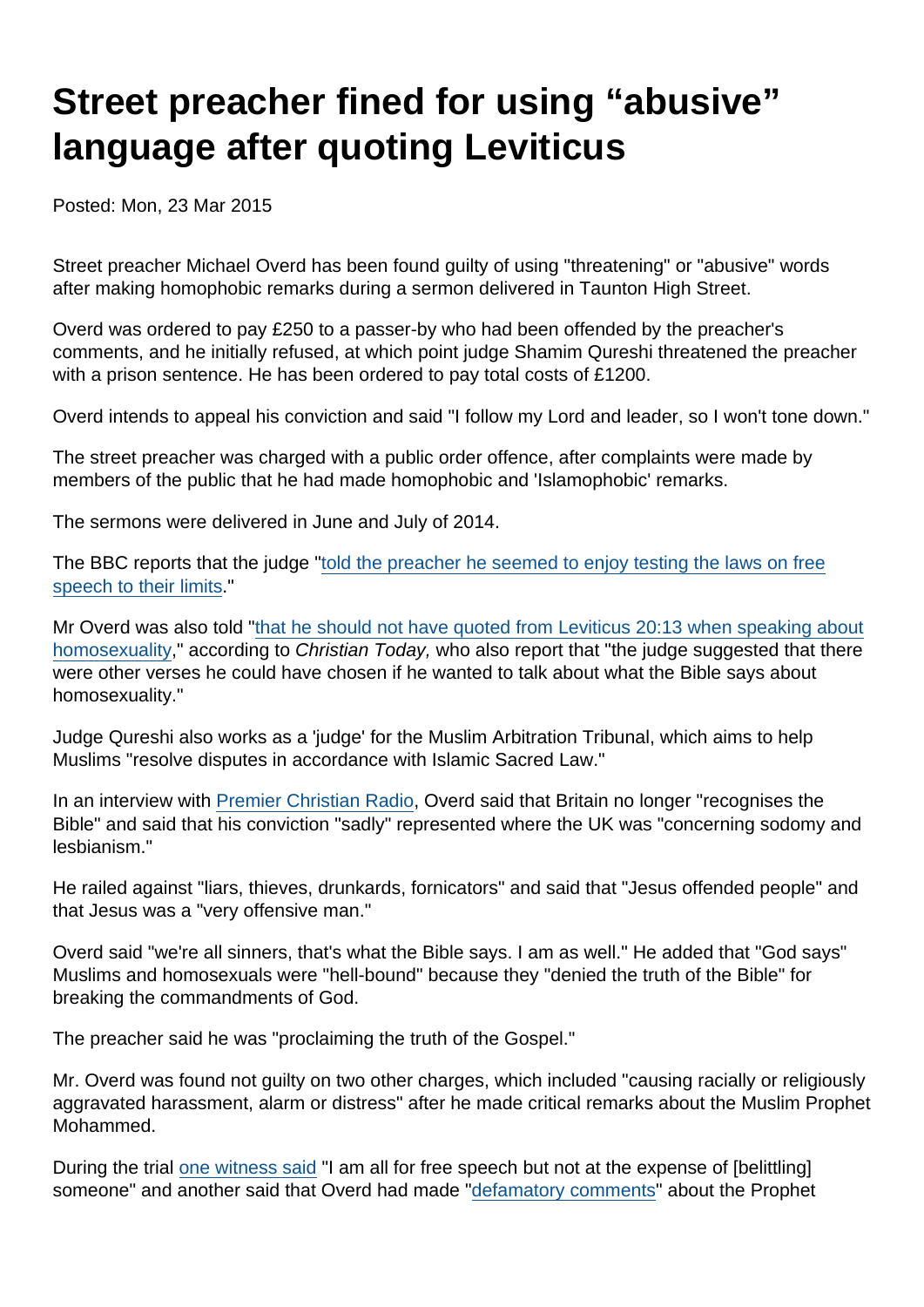# Street preacher fined for using "abusive" language after quoting Leviticus

Posted: Mon, 23 Mar 2015

Street preacher Michael Overd has been found guilty of using "threatening" or "abusive" words after making homophobic remarks during a sermon delivered in Taunton High Street.

Overd was ordered to pay £250 to a passer-by who had been offended by the preacher's comments, and he initially refused, at which point judge Shamim Qureshi threatened the preacher with a prison sentence. He has been ordered to pay total costs of £1200.

Overd intends to appeal his conviction and said "I follow my Lord and leader, so I won't tone down."

The street preacher was charged with a public order offence, after complaints were made by members of the public that he had made homophobic and 'Islamophobic' remarks.

The sermons were delivered in June and July of 2014.

The BBC reports that the judge ["told the preacher he seemed to enjoy testing the laws on free](http://www.bbc.co.uk/news/uk-england-somerset-32017649) [speech to their limits](http://www.bbc.co.uk/news/uk-england-somerset-32017649)."

Mr Overd was also told ["that he should not have quoted from Leviticus 20:13 when speaking about](http://www.christiantoday.com/article/street.preacher.guilty.of.using.threatening.language.by.quoting.leviticus/50564.htm) [homosexuality,](http://www.christiantoday.com/article/street.preacher.guilty.of.using.threatening.language.by.quoting.leviticus/50564.htm)" according to Christian Today, who also report that "the judge suggested that there were other verses he could have chosen if he wanted to talk about what the Bible says about homosexuality."

Judge Qureshi also works as a 'judge' for the Muslim Arbitration Tribunal, which aims to help Muslims "resolve disputes in accordance with Islamic Sacred Law."

In an interview with [Premier Christian Radio,](http://www.premier.org.uk/News/UK/Street-preacher-convicted-over-homophobic-sermon) Overd said that Britain no longer "recognises the Bible" and said that his conviction "sadly" represented where the UK was "concerning sodomy and lesbianism."

He railed against "liars, thieves, drunkards, fornicators" and said that "Jesus offended people" and that Jesus was a "very offensive man."

Overd said "we're all sinners, that's what the Bible says. I am as well." He added that "God says" Muslims and homosexuals were "hell-bound" because they "denied the truth of the Bible" for breaking the commandments of God.

The preacher said he was "proclaiming the truth of the Gospel."

Mr. Overd was found not guilty on two other charges, which included "causing racially or religiously aggravated harassment, alarm or distress" after he made critical remarks about the Muslim Prophet Mohammed.

During the trial [one witness said](http://www.somersetcountygazette.co.uk/news/11848214.display/) "I am all for free speech but not at the expense of [belittling] someone" and another said that Overd had made ["defamatory comments"](http://www.bbc.co.uk/news/uk-england-somerset-31829498) about the Prophet